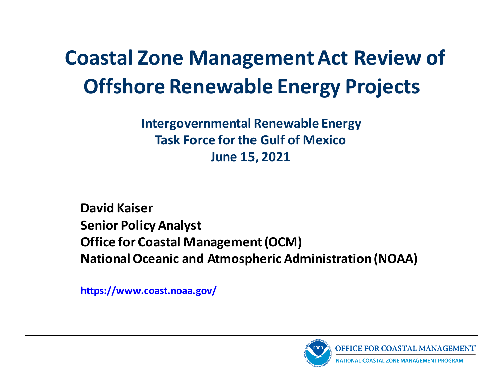### **Coastal Zone Management Act Review of Offshore Renewable Energy Projects**

#### **Intergovernmental Renewable Energy Task Force forthe Gulf of Mexico June 15, 2021**

**David Kaiser Senior Policy Analyst Office for Coastal Management (OCM) National Oceanic and Atmospheric Administration (NOAA)**

**<https://www.coast.noaa.gov/>**

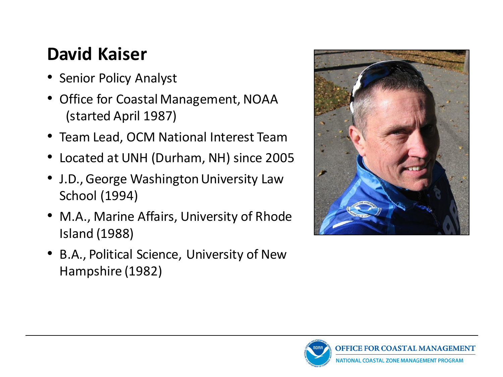#### **David Kaiser**

- Senior Policy Analyst
- Office for Coastal Management, NOAA (started April 1987)
- Team Lead, OCM National Interest Team
- Located at UNH (Durham, NH) since 2005
- J.D., George Washington University Law School (1994)
- M.A., Marine Affairs, University of Rhode Island (1988)
- B.A., Political Science, University of New Hampshire (1982)



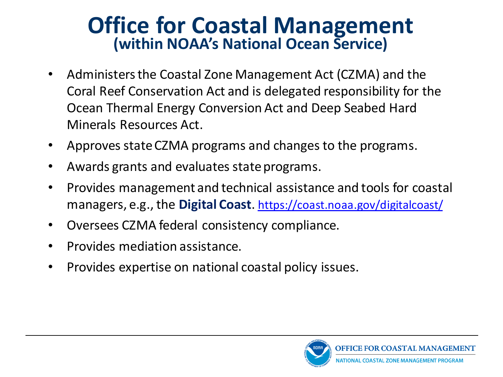#### **Office for Coastal Management (within NOAA's National Ocean Service)**

- Administers the Coastal Zone Management Act (CZMA) and the Coral Reef Conservation Act and is delegated responsibility for the Ocean Thermal Energy Conversion Act and Deep Seabed Hard Minerals Resources Act.
- Approves state CZMA programs and changes to the programs.
- Awards grants and evaluates state programs.
- Provides management and technical assistance and tools for coastal managers, e.g., the **Digital Coast**. <https://coast.noaa.gov/digitalcoast/>
- Oversees CZMA federal consistency compliance.
- Provides mediation assistance.
- Provides expertise on national coastal policy issues.

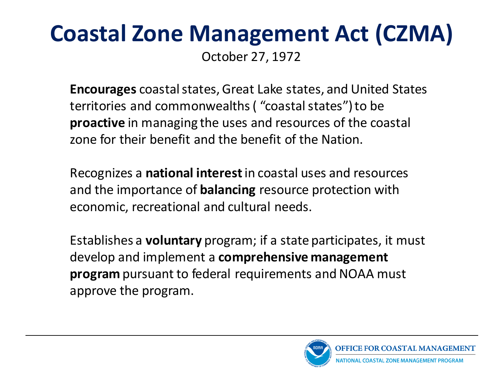## **Coastal Zone Management Act (CZMA)**

October 27, 1972

**Encourages** coastal states, Great Lake states, and United States territories and commonwealths ( "coastal states") to be **proactive** in managing the uses and resources of the coastal zone for their benefit and the benefit of the Nation.

Recognizes a **national interest**in coastal uses and resources and the importance of **balancing** resource protection with economic, recreational and cultural needs.

Establishes a **voluntary** program; if a state participates, it must develop and implement a **comprehensive management program** pursuant to federal requirements and NOAA must approve the program.

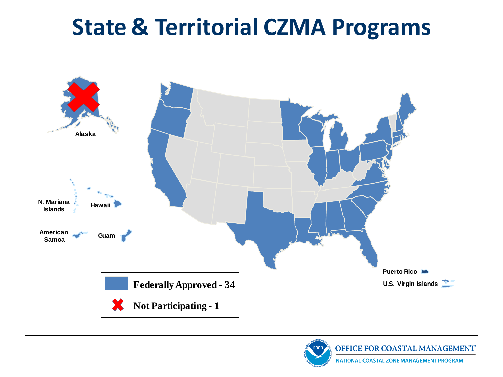### **State & Territorial CZMA Programs**





**NATIONAL COASTAL ZONE MANAGEMENT PROGRAM**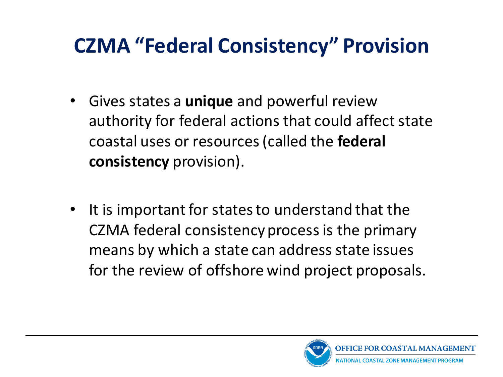### **CZMA "Federal Consistency" Provision**

- Gives states a **unique** and powerful review authority for federal actions that could affect state coastal uses or resources (called the **federal consistency** provision).
- It is important for states to understand that the CZMA federal consistency process is the primary means by which a state can address state issues for the review of offshore wind project proposals.

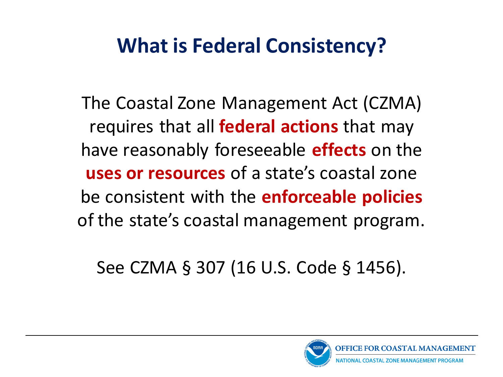### **What is Federal Consistency?**

The Coastal Zone Management Act (CZMA) requires that all **federal actions** that may have reasonably foreseeable **effects** on the **uses or resources** of a state's coastal zone be consistent with the **enforceable policies** of the state's coastal management program.

See CZMA § 307 (16 U.S. Code § 1456).

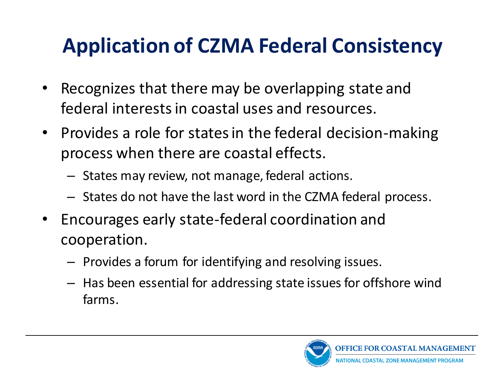### **Application of CZMA Federal Consistency**

- Recognizes that there may be overlapping state and federal interests in coastal uses and resources.
- Provides a role for states in the federal decision-making process when there are coastal effects.
	- States may review, not manage, federal actions.
	- States do not have the last word in the CZMA federal process.
- Encourages early state-federal coordination and cooperation.
	- Provides a forum for identifying and resolving issues.
	- Has been essential for addressing state issues for offshore wind farms.

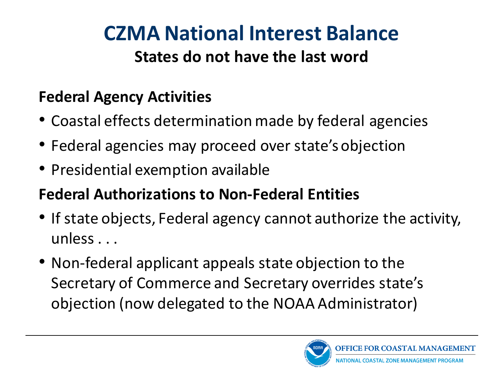# **CZMA National Interest Balance**

#### **States do not have the last word**

#### **Federal Agency Activities**

- Coastal effects determination made by federal agencies
- Federal agencies may proceed over state's objection
- Presidential exemption available

#### **Federal Authorizations to Non-Federal Entities**

- If state objects, Federal agency cannot authorize the activity, unless . . .
- Non-federal applicant appeals state objection to the Secretary of Commerce and Secretary overrides state's objection (now delegated to the NOAA Administrator)

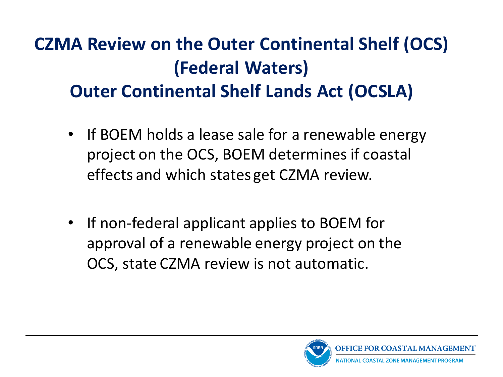#### **CZMA Review on the Outer Continental Shelf (OCS) (Federal Waters) Outer Continental Shelf Lands Act (OCSLA)**

- If BOEM holds a lease sale for a renewable energy project on the OCS, BOEM determines if coastal effects and which states get CZMA review.
- If non-federal applicant applies to BOEM for approval of a renewable energy project on the OCS, state CZMA review is not automatic.

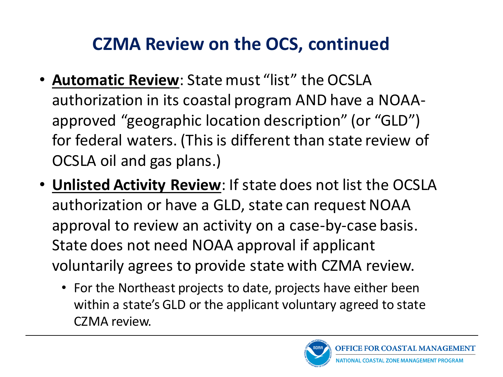#### **CZMA Review on the OCS, continued**

- **Automatic Review**: State must "list" the OCSLA authorization in its coastal program AND have a NOAAapproved "geographic location description" (or "GLD") for federal waters. (This is different than state review of OCSLA oil and gas plans.)
- **Unlisted Activity Review**: If state does not list the OCSLA authorization or have a GLD, state can request NOAA approval to review an activity on a case-by-case basis. State does not need NOAA approval if applicant voluntarily agrees to provide state with CZMA review.
	- For the Northeast projects to date, projects have either been within a state's GLD or the applicant voluntary agreed to state CZMA review.

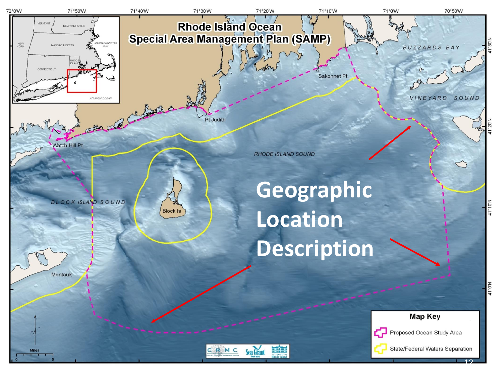